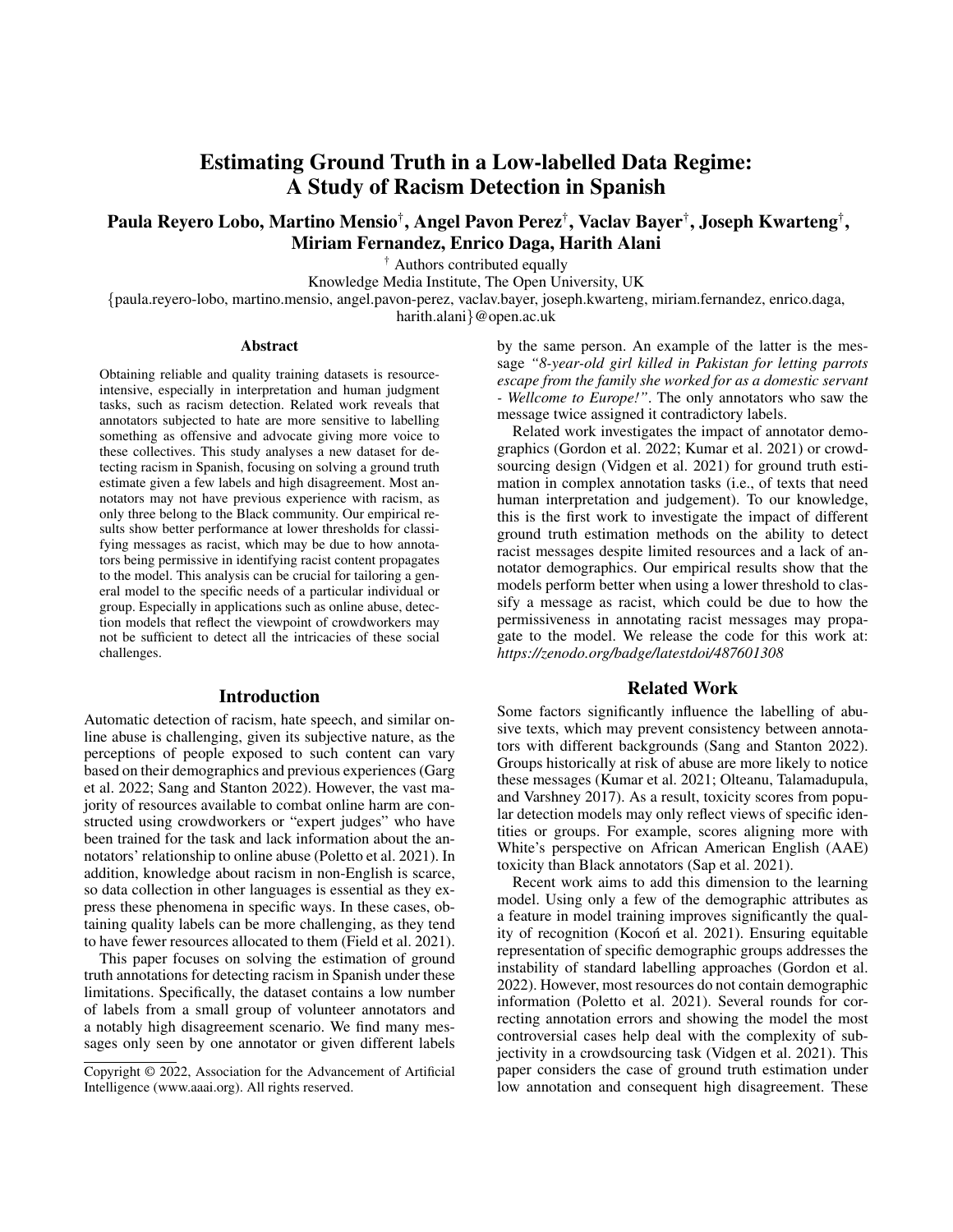# Estimating Ground Truth in a Low-labelled Data Regime: A Study of Racism Detection in Spanish

Paula Reyero Lobo, Martino Mensio† , Angel Pavon Perez† , Vaclav Bayer† , Joseph Kwarteng† , Miriam Fernandez, Enrico Daga, Harith Alani

† Authors contributed equally

Knowledge Media Institute, The Open University, UK

{paula.reyero-lobo, martino.mensio, angel.pavon-perez, vaclav.bayer, joseph.kwarteng, miriam.fernandez, enrico.daga, harith.alani}@open.ac.uk

#### Abstract

Obtaining reliable and quality training datasets is resourceintensive, especially in interpretation and human judgment tasks, such as racism detection. Related work reveals that annotators subjected to hate are more sensitive to labelling something as offensive and advocate giving more voice to these collectives. This study analyses a new dataset for detecting racism in Spanish, focusing on solving a ground truth estimate given a few labels and high disagreement. Most annotators may not have previous experience with racism, as only three belong to the Black community. Our empirical results show better performance at lower thresholds for classifying messages as racist, which may be due to how annotators being permissive in identifying racist content propagates to the model. This analysis can be crucial for tailoring a general model to the specific needs of a particular individual or group. Especially in applications such as online abuse, detection models that reflect the viewpoint of crowdworkers may not be sufficient to detect all the intricacies of these social challenges.

### Introduction

Automatic detection of racism, hate speech, and similar online abuse is challenging, given its subjective nature, as the perceptions of people exposed to such content can vary based on their demographics and previous experiences (Garg et al. 2022; Sang and Stanton 2022). However, the vast majority of resources available to combat online harm are constructed using crowdworkers or "expert judges" who have been trained for the task and lack information about the annotators' relationship to online abuse (Poletto et al. 2021). In addition, knowledge about racism in non-English is scarce, so data collection in other languages is essential as they express these phenomena in specific ways. In these cases, obtaining quality labels can be more challenging, as they tend to have fewer resources allocated to them (Field et al. 2021).

This paper focuses on solving the estimation of ground truth annotations for detecting racism in Spanish under these limitations. Specifically, the dataset contains a low number of labels from a small group of volunteer annotators and a notably high disagreement scenario. We find many messages only seen by one annotator or given different labels

by the same person. An example of the latter is the message *"8-year-old girl killed in Pakistan for letting parrots escape from the family she worked for as a domestic servant - Wellcome to Europe!"*. The only annotators who saw the message twice assigned it contradictory labels.

Related work investigates the impact of annotator demographics (Gordon et al. 2022; Kumar et al. 2021) or crowdsourcing design (Vidgen et al. 2021) for ground truth estimation in complex annotation tasks (i.e., of texts that need human interpretation and judgement). To our knowledge, this is the first work to investigate the impact of different ground truth estimation methods on the ability to detect racist messages despite limited resources and a lack of annotator demographics. Our empirical results show that the models perform better when using a lower threshold to classify a message as racist, which could be due to how the permissiveness in annotating racist messages may propagate to the model. We release the code for this work at: *https://zenodo.org/badge/latestdoi/487601308*

# Related Work

Some factors significantly influence the labelling of abusive texts, which may prevent consistency between annotators with different backgrounds (Sang and Stanton 2022). Groups historically at risk of abuse are more likely to notice these messages (Kumar et al. 2021; Olteanu, Talamadupula, and Varshney 2017). As a result, toxicity scores from popular detection models may only reflect views of specific identities or groups. For example, scores aligning more with White's perspective on African American English (AAE) toxicity than Black annotators (Sap et al. 2021).

Recent work aims to add this dimension to the learning model. Using only a few of the demographic attributes as a feature in model training improves significantly the quality of recognition (Kocoń et al. 2021). Ensuring equitable representation of specific demographic groups addresses the instability of standard labelling approaches (Gordon et al. 2022). However, most resources do not contain demographic information (Poletto et al. 2021). Several rounds for correcting annotation errors and showing the model the most controversial cases help deal with the complexity of subjectivity in a crowdsourcing task (Vidgen et al. 2021). This paper considers the case of ground truth estimation under low annotation and consequent high disagreement. These

Copyright © 2022, Association for the Advancement of Artificial Intelligence (www.aaai.org). All rights reserved.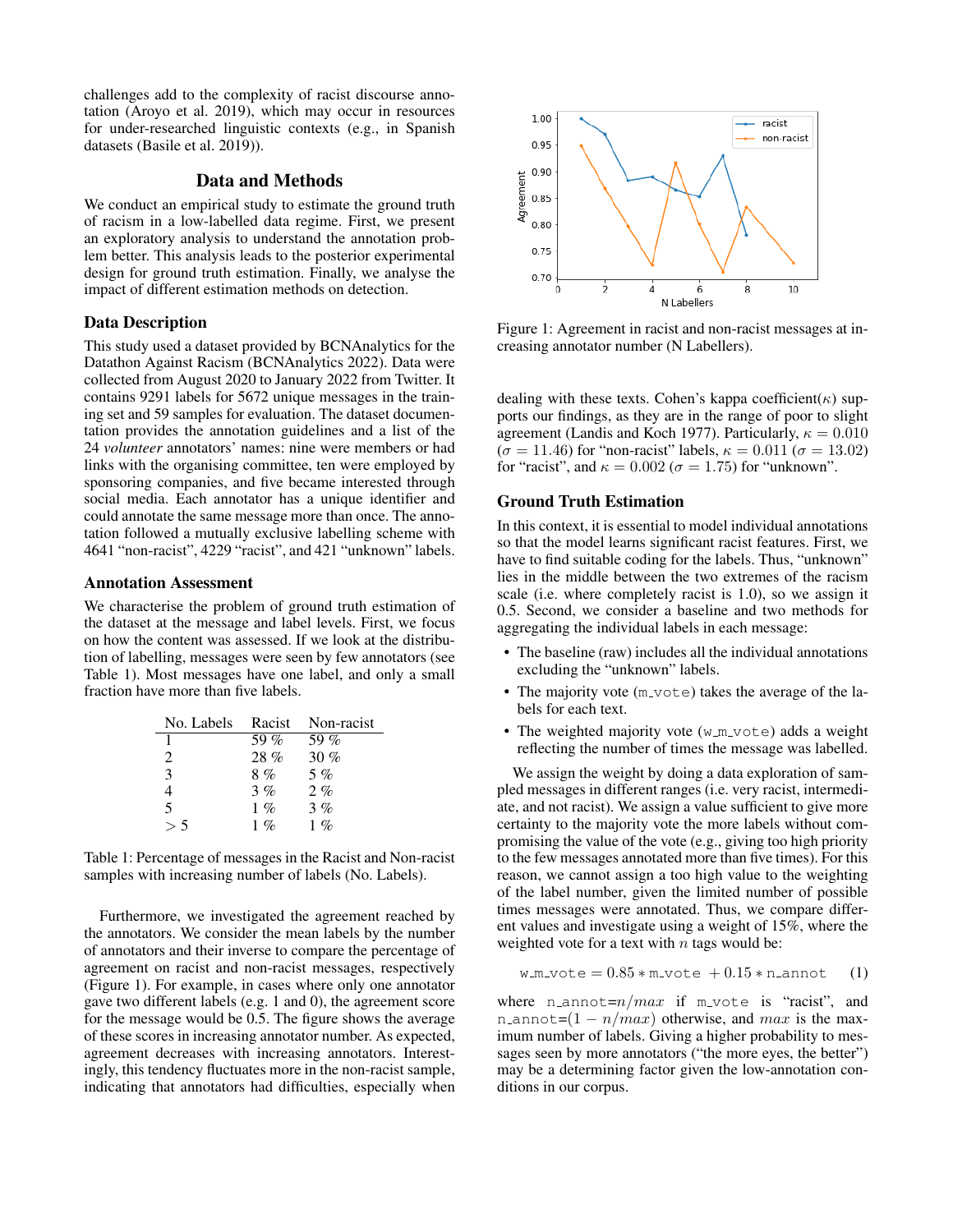challenges add to the complexity of racist discourse annotation (Aroyo et al. 2019), which may occur in resources for under-researched linguistic contexts (e.g., in Spanish datasets (Basile et al. 2019)).

# Data and Methods

We conduct an empirical study to estimate the ground truth of racism in a low-labelled data regime. First, we present an exploratory analysis to understand the annotation problem better. This analysis leads to the posterior experimental design for ground truth estimation. Finally, we analyse the impact of different estimation methods on detection.

#### Data Description

This study used a dataset provided by BCNAnalytics for the Datathon Against Racism (BCNAnalytics 2022). Data were collected from August 2020 to January 2022 from Twitter. It contains 9291 labels for 5672 unique messages in the training set and 59 samples for evaluation. The dataset documentation provides the annotation guidelines and a list of the 24 *volunteer* annotators' names: nine were members or had links with the organising committee, ten were employed by sponsoring companies, and five became interested through social media. Each annotator has a unique identifier and could annotate the same message more than once. The annotation followed a mutually exclusive labelling scheme with 4641 "non-racist", 4229 "racist", and 421 "unknown" labels.

#### Annotation Assessment

We characterise the problem of ground truth estimation of the dataset at the message and label levels. First, we focus on how the content was assessed. If we look at the distribution of labelling, messages were seen by few annotators (see Table 1). Most messages have one label, and only a small fraction have more than five labels.

| No. Labels | Racist    | Non-racist |
|------------|-----------|------------|
| 1          | 59 %      | 59 $%$     |
| 2          | $28 \%$   | 30%        |
| 3          | 8%        | $5\%$      |
| 4          | 3%        | $2. \%$    |
| 5          | $1\%$     | 3%         |
|            | $1 \, \%$ | $1 \, \%$  |

Table 1: Percentage of messages in the Racist and Non-racist samples with increasing number of labels (No. Labels).

Furthermore, we investigated the agreement reached by the annotators. We consider the mean labels by the number of annotators and their inverse to compare the percentage of agreement on racist and non-racist messages, respectively (Figure 1). For example, in cases where only one annotator gave two different labels (e.g. 1 and 0), the agreement score for the message would be 0.5. The figure shows the average of these scores in increasing annotator number. As expected, agreement decreases with increasing annotators. Interestingly, this tendency fluctuates more in the non-racist sample, indicating that annotators had difficulties, especially when



Figure 1: Agreement in racist and non-racist messages at increasing annotator number (N Labellers).

dealing with these texts. Cohen's kappa coefficient( $\kappa$ ) supports our findings, as they are in the range of poor to slight agreement (Landis and Koch 1977). Particularly,  $\kappa = 0.010$  $(\sigma = 11.46)$  for "non-racist" labels,  $\kappa = 0.011$  ( $\sigma = 13.02$ ) for "racist", and  $\kappa = 0.002$  ( $\sigma = 1.75$ ) for "unknown".

#### Ground Truth Estimation

In this context, it is essential to model individual annotations so that the model learns significant racist features. First, we have to find suitable coding for the labels. Thus, "unknown" lies in the middle between the two extremes of the racism scale (i.e. where completely racist is 1.0), so we assign it 0.5. Second, we consider a baseline and two methods for aggregating the individual labels in each message:

- The baseline (raw) includes all the individual annotations excluding the "unknown" labels.
- The majority vote (m\_vote) takes the average of the labels for each text.
- The weighted majority vote  $(w_{m-vote})$  adds a weight reflecting the number of times the message was labelled.

We assign the weight by doing a data exploration of sampled messages in different ranges (i.e. very racist, intermediate, and not racist). We assign a value sufficient to give more certainty to the majority vote the more labels without compromising the value of the vote (e.g., giving too high priority to the few messages annotated more than five times). For this reason, we cannot assign a too high value to the weighting of the label number, given the limited number of possible times messages were annotated. Thus, we compare different values and investigate using a weight of 15%, where the weighted vote for a text with  $n$  tags would be:

$$
w_m
$$
vote =  $0.85 * m$ vote +  $0.15 * n$ annot (1)

where n annot= $n/max$  if m vote is "racist", and n annot= $(1 - n / max)$  otherwise, and max is the maximum number of labels. Giving a higher probability to messages seen by more annotators ("the more eyes, the better") may be a determining factor given the low-annotation conditions in our corpus.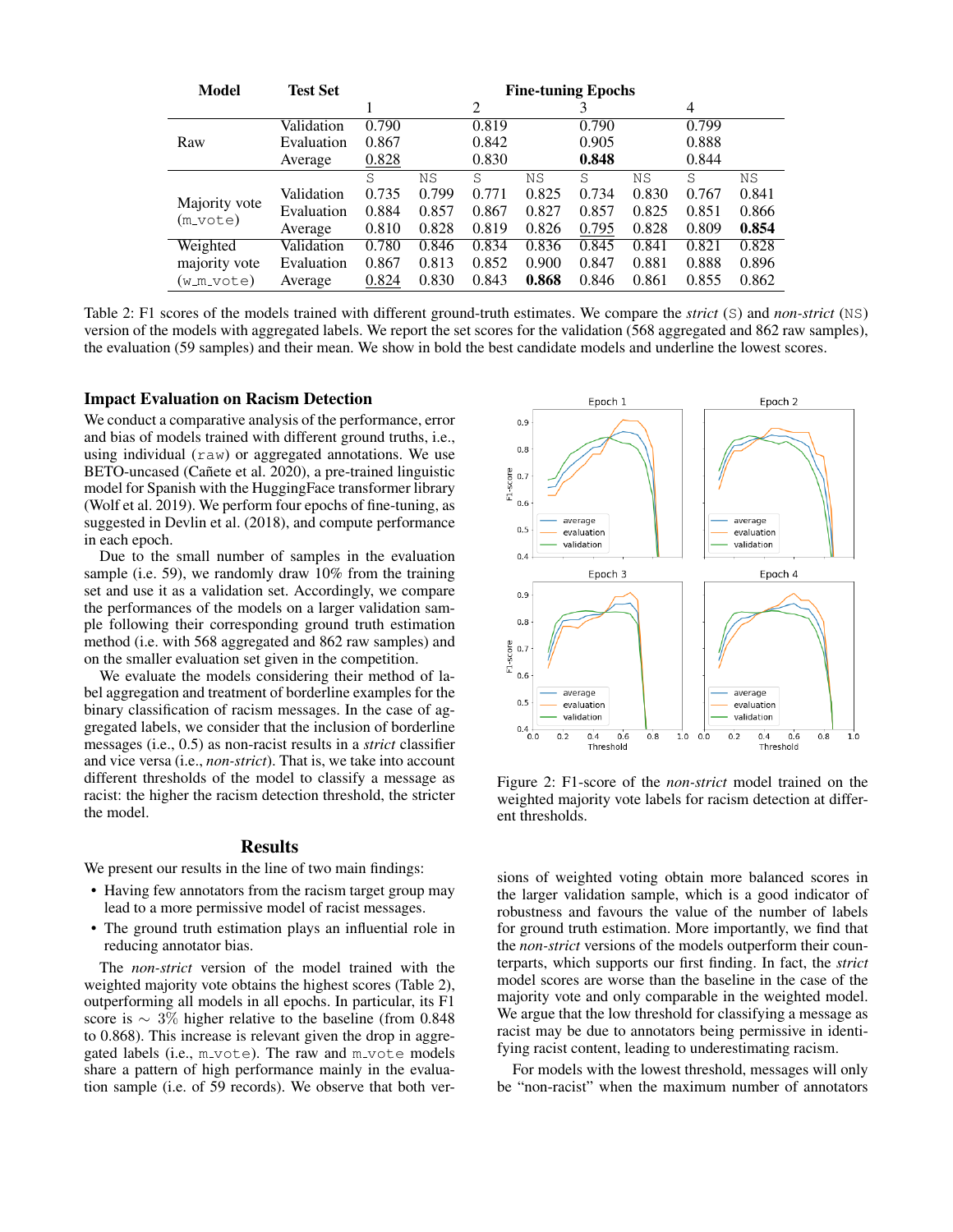| <b>Model</b>                | <b>Test Set</b> | <b>Fine-tuning Epochs</b> |           |       |       |       |       |       |       |
|-----------------------------|-----------------|---------------------------|-----------|-------|-------|-------|-------|-------|-------|
|                             |                 |                           |           | 2     |       |       |       | 4     |       |
| Raw                         | Validation      | 0.790                     |           | 0.819 |       | 0.790 |       | 0.799 |       |
|                             | Evaluation      | 0.867                     |           | 0.842 |       | 0.905 |       | 0.888 |       |
|                             | Average         | 0.828                     |           | 0.830 |       | 0.848 |       | 0.844 |       |
|                             |                 | S                         | <b>NS</b> | S     | ΝS    | S     | ΝS    | S     | ΝS    |
| Majority vote<br>$(m_vote)$ | Validation      | 0.735                     | 0.799     | 0.771 | 0.825 | 0.734 | 0.830 | 0.767 | 0.841 |
|                             | Evaluation      | 0.884                     | 0.857     | 0.867 | 0.827 | 0.857 | 0.825 | 0.851 | 0.866 |
|                             | Average         | 0.810                     | 0.828     | 0.819 | 0.826 | 0.795 | 0.828 | 0.809 | 0.854 |
| Weighted                    | Validation      | 0.780                     | 0.846     | 0.834 | 0.836 | 0.845 | 0.841 | 0.821 | 0.828 |
| majority vote               | Evaluation      | 0.867                     | 0.813     | 0.852 | 0.900 | 0.847 | 0.881 | 0.888 | 0.896 |
| (w_m_vote)                  | Average         | 0.824                     | 0.830     | 0.843 | 0.868 | 0.846 | 0.861 | 0.855 | 0.862 |

Table 2: F1 scores of the models trained with different ground-truth estimates. We compare the *strict* (S) and *non-strict* (NS) version of the models with aggregated labels. We report the set scores for the validation (568 aggregated and 862 raw samples), the evaluation (59 samples) and their mean. We show in bold the best candidate models and underline the lowest scores.

#### Impact Evaluation on Racism Detection

We conduct a comparative analysis of the performance, error and bias of models trained with different ground truths, i.e., using individual  $(\text{raw})$  or aggregated annotations. We use BETO-uncased (Cañete et al. 2020), a pre-trained linguistic model for Spanish with the HuggingFace transformer library (Wolf et al. 2019). We perform four epochs of fine-tuning, as suggested in Devlin et al. (2018), and compute performance in each epoch.

Due to the small number of samples in the evaluation sample (i.e. 59), we randomly draw 10% from the training set and use it as a validation set. Accordingly, we compare the performances of the models on a larger validation sample following their corresponding ground truth estimation method (i.e. with 568 aggregated and 862 raw samples) and on the smaller evaluation set given in the competition.

We evaluate the models considering their method of label aggregation and treatment of borderline examples for the binary classification of racism messages. In the case of aggregated labels, we consider that the inclusion of borderline messages (i.e., 0.5) as non-racist results in a *strict* classifier and vice versa (i.e., *non-strict*). That is, we take into account different thresholds of the model to classify a message as racist: the higher the racism detection threshold, the stricter the model.

#### Results

We present our results in the line of two main findings:

- Having few annotators from the racism target group may lead to a more permissive model of racist messages.
- The ground truth estimation plays an influential role in reducing annotator bias.

The *non-strict* version of the model trained with the weighted majority vote obtains the highest scores (Table 2), outperforming all models in all epochs. In particular, its F1 score is ∼ 3% higher relative to the baseline (from 0.848 to 0.868). This increase is relevant given the drop in aggregated labels (i.e., m\_vote). The raw and m\_vote models share a pattern of high performance mainly in the evaluation sample (i.e. of 59 records). We observe that both ver-



Figure 2: F1-score of the *non-strict* model trained on the weighted majority vote labels for racism detection at different thresholds.

sions of weighted voting obtain more balanced scores in the larger validation sample, which is a good indicator of robustness and favours the value of the number of labels for ground truth estimation. More importantly, we find that the *non-strict* versions of the models outperform their counterparts, which supports our first finding. In fact, the *strict* model scores are worse than the baseline in the case of the majority vote and only comparable in the weighted model. We argue that the low threshold for classifying a message as racist may be due to annotators being permissive in identifying racist content, leading to underestimating racism.

For models with the lowest threshold, messages will only be "non-racist" when the maximum number of annotators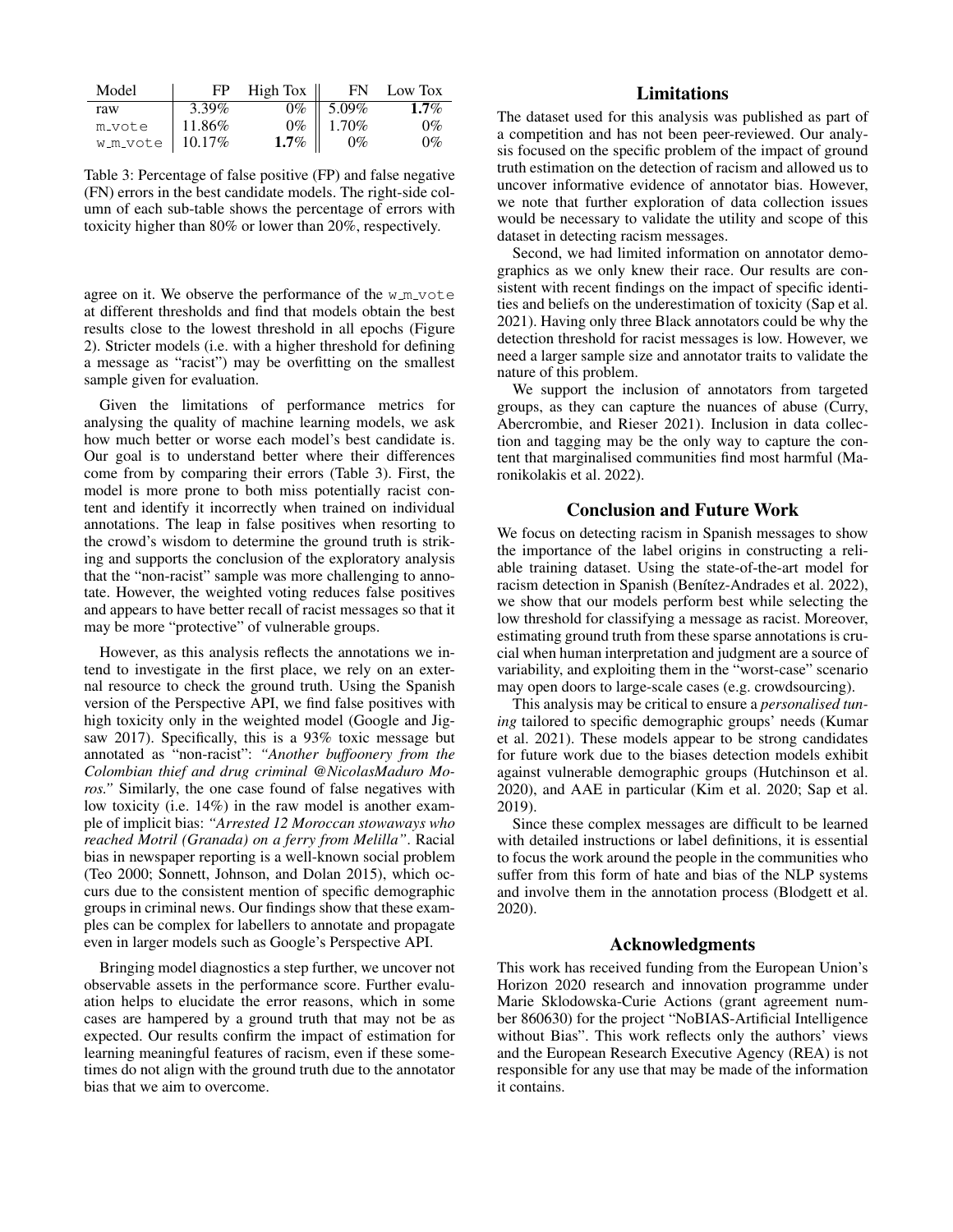| Model               | FP.    | High Tox $\parallel$ | FN 5                                                               | Low Tox |
|---------------------|--------|----------------------|--------------------------------------------------------------------|---------|
| raw                 | 3.39%  |                      | $0\%$ 5.09%                                                        | $1.7\%$ |
| m_vote              | 11.86% |                      |                                                                    | $0\%$   |
| $w_m$ vote   10.17% |        |                      | $\begin{array}{c c} 0\% & 1.70\% \ \hline 1.7\% & 0\% \end{array}$ | $0\%$   |

Table 3: Percentage of false positive (FP) and false negative (FN) errors in the best candidate models. The right-side column of each sub-table shows the percentage of errors with toxicity higher than 80% or lower than 20%, respectively.

agree on it. We observe the performance of the  $w_{m}$  vote at different thresholds and find that models obtain the best results close to the lowest threshold in all epochs (Figure 2). Stricter models (i.e. with a higher threshold for defining a message as "racist") may be overfitting on the smallest sample given for evaluation.

Given the limitations of performance metrics for analysing the quality of machine learning models, we ask how much better or worse each model's best candidate is. Our goal is to understand better where their differences come from by comparing their errors (Table 3). First, the model is more prone to both miss potentially racist content and identify it incorrectly when trained on individual annotations. The leap in false positives when resorting to the crowd's wisdom to determine the ground truth is striking and supports the conclusion of the exploratory analysis that the "non-racist" sample was more challenging to annotate. However, the weighted voting reduces false positives and appears to have better recall of racist messages so that it may be more "protective" of vulnerable groups.

However, as this analysis reflects the annotations we intend to investigate in the first place, we rely on an external resource to check the ground truth. Using the Spanish version of the Perspective API, we find false positives with high toxicity only in the weighted model (Google and Jigsaw 2017). Specifically, this is a 93% toxic message but annotated as "non-racist": *"Another buffoonery from the Colombian thief and drug criminal @NicolasMaduro Moros.*" Similarly, the one case found of false negatives with low toxicity (i.e. 14%) in the raw model is another example of implicit bias: *"Arrested 12 Moroccan stowaways who reached Motril (Granada) on a ferry from Melilla"*. Racial bias in newspaper reporting is a well-known social problem (Teo 2000; Sonnett, Johnson, and Dolan 2015), which occurs due to the consistent mention of specific demographic groups in criminal news. Our findings show that these examples can be complex for labellers to annotate and propagate even in larger models such as Google's Perspective API.

Bringing model diagnostics a step further, we uncover not observable assets in the performance score. Further evaluation helps to elucidate the error reasons, which in some cases are hampered by a ground truth that may not be as expected. Our results confirm the impact of estimation for learning meaningful features of racism, even if these sometimes do not align with the ground truth due to the annotator bias that we aim to overcome.

# Limitations

The dataset used for this analysis was published as part of a competition and has not been peer-reviewed. Our analysis focused on the specific problem of the impact of ground truth estimation on the detection of racism and allowed us to uncover informative evidence of annotator bias. However, we note that further exploration of data collection issues would be necessary to validate the utility and scope of this dataset in detecting racism messages.

Second, we had limited information on annotator demographics as we only knew their race. Our results are consistent with recent findings on the impact of specific identities and beliefs on the underestimation of toxicity (Sap et al. 2021). Having only three Black annotators could be why the detection threshold for racist messages is low. However, we need a larger sample size and annotator traits to validate the nature of this problem.

We support the inclusion of annotators from targeted groups, as they can capture the nuances of abuse (Curry, Abercrombie, and Rieser 2021). Inclusion in data collection and tagging may be the only way to capture the content that marginalised communities find most harmful (Maronikolakis et al. 2022).

### Conclusion and Future Work

We focus on detecting racism in Spanish messages to show the importance of the label origins in constructing a reliable training dataset. Using the state-of-the-art model for racism detection in Spanish (Benítez-Andrades et al. 2022), we show that our models perform best while selecting the low threshold for classifying a message as racist. Moreover, estimating ground truth from these sparse annotations is crucial when human interpretation and judgment are a source of variability, and exploiting them in the "worst-case" scenario may open doors to large-scale cases (e.g. crowdsourcing).

This analysis may be critical to ensure a *personalised tuning* tailored to specific demographic groups' needs (Kumar et al. 2021). These models appear to be strong candidates for future work due to the biases detection models exhibit against vulnerable demographic groups (Hutchinson et al. 2020), and AAE in particular (Kim et al. 2020; Sap et al. 2019).

Since these complex messages are difficult to be learned with detailed instructions or label definitions, it is essential to focus the work around the people in the communities who suffer from this form of hate and bias of the NLP systems and involve them in the annotation process (Blodgett et al. 2020).

### Acknowledgments

This work has received funding from the European Union's Horizon 2020 research and innovation programme under Marie Sklodowska-Curie Actions (grant agreement number 860630) for the project "NoBIAS-Artificial Intelligence without Bias". This work reflects only the authors' views and the European Research Executive Agency (REA) is not responsible for any use that may be made of the information it contains.